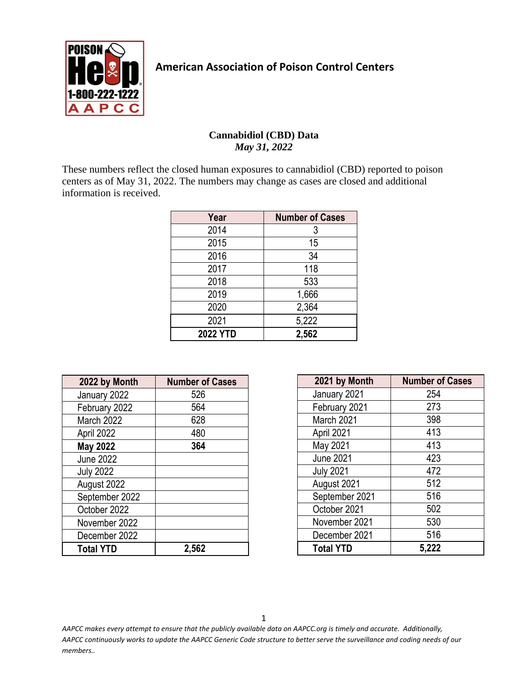

## **American Association of Poison Control Centers**

## **Cannabidiol (CBD) Data** *May 31, 2022*

These numbers reflect the closed human exposures to cannabidiol (CBD) reported to poison centers as of May 31, 2022. The numbers may change as cases are closed and additional information is received.

| Year            | <b>Number of Cases</b> |
|-----------------|------------------------|
| 2014            | 3                      |
| 2015            | 15                     |
| 2016            | 34                     |
| 2017            | 118                    |
| 2018            | 533                    |
| 2019            | 1,666                  |
| 2020            | 2,364                  |
| 2021            | 5,222                  |
| <b>2022 YTD</b> | 2,562                  |

| 2022 by Month    | <b>Number of Cases</b> |
|------------------|------------------------|
| January 2022     | 526                    |
| February 2022    | 564                    |
| March 2022       | 628                    |
| April 2022       | 480                    |
| <b>May 2022</b>  | 364                    |
| <b>June 2022</b> |                        |
| <b>July 2022</b> |                        |
| August 2022      |                        |
| September 2022   |                        |
| October 2022     |                        |
| November 2022    |                        |
| December 2022    |                        |
| <b>Total YTD</b> | 2,562                  |

| 2021 by Month    | <b>Number of Cases</b> |
|------------------|------------------------|
| January 2021     | 254                    |
| February 2021    | 273                    |
| March 2021       | 398                    |
| April 2021       | 413                    |
| May 2021         | 413                    |
| <b>June 2021</b> | 423                    |
| <b>July 2021</b> | 472                    |
| August 2021      | 512                    |
| September 2021   | 516                    |
| October 2021     | 502                    |
| November 2021    | 530                    |
| December 2021    | 516                    |
| <b>Total YTD</b> | 5,222                  |

1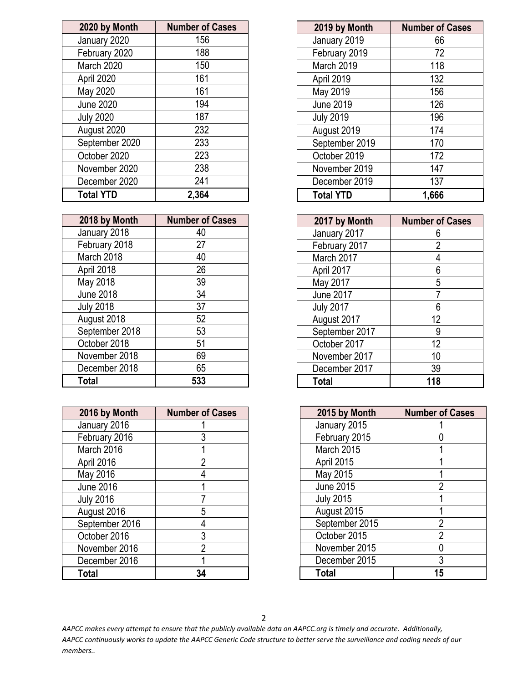| 2020 by Month    | <b>Number of Cases</b> |
|------------------|------------------------|
| January 2020     | 156                    |
| February 2020    | 188                    |
| March 2020       | 150                    |
| April 2020       | 161                    |
| May 2020         | 161                    |
| <b>June 2020</b> | 194                    |
| <b>July 2020</b> | 187                    |
| August 2020      | 232                    |
| September 2020   | 233                    |
| October 2020     | 223                    |
| November 2020    | 238                    |
| December 2020    | 241                    |
| <b>Total YTD</b> | 2,364                  |

| 2018 by Month    | <b>Number of Cases</b> |
|------------------|------------------------|
| January 2018     | 40                     |
| February 2018    | 27                     |
| March 2018       | 40                     |
| April 2018       | 26                     |
| May 2018         | 39                     |
| <b>June 2018</b> | 34                     |
| <b>July 2018</b> | 37                     |
| August 2018      | 52                     |
| September 2018   | 53                     |
| October 2018     | 51                     |
| November 2018    | 69                     |
| December 2018    | 65                     |
| <b>Total</b>     | 533                    |

| 2016 by Month    | <b>Number of Cases</b> |
|------------------|------------------------|
| January 2016     |                        |
| February 2016    | 3                      |
| March 2016       |                        |
| April 2016       | 2                      |
| May 2016         |                        |
| <b>June 2016</b> |                        |
| <b>July 2016</b> |                        |
| August 2016      | 5                      |
| September 2016   | 4                      |
| October 2016     | 3                      |
| November 2016    | 2                      |
| December 2016    |                        |
| Total            |                        |

| 2019 by Month    | <b>Number of Cases</b> |
|------------------|------------------------|
| January 2019     | 66                     |
| February 2019    | 72                     |
| March 2019       | 118                    |
| April 2019       | 132                    |
| May 2019         | 156                    |
| <b>June 2019</b> | 126                    |
| <b>July 2019</b> | 196                    |
| August 2019      | 174                    |
| September 2019   | 170                    |
| October 2019     | 172                    |
| November 2019    | 147                    |
| December 2019    | 137                    |
| <b>Total YTD</b> | 1,666                  |

| 2017 by Month    | <b>Number of Cases</b> |
|------------------|------------------------|
| January 2017     | 6                      |
| February 2017    | 2                      |
| March 2017       |                        |
| April 2017       | 6                      |
| May 2017         | 5                      |
| <b>June 2017</b> |                        |
| <b>July 2017</b> | 6                      |
| August 2017      | 12                     |
| September 2017   | 9                      |
| October 2017     | 12                     |
| November 2017    | 10                     |
| December 2017    | 39                     |
| Total            | 118                    |

| 2015 by Month    | <b>Number of Cases</b> |
|------------------|------------------------|
| January 2015     |                        |
| February 2015    |                        |
| March 2015       | 1                      |
| April 2015       |                        |
| May 2015         |                        |
| <b>June 2015</b> | 2                      |
| <b>July 2015</b> |                        |
| August 2015      |                        |
| September 2015   | $\overline{2}$         |
| October 2015     | $\overline{2}$         |
| November 2015    |                        |
| December 2015    | 3                      |
| <b>Total</b>     | 15                     |

2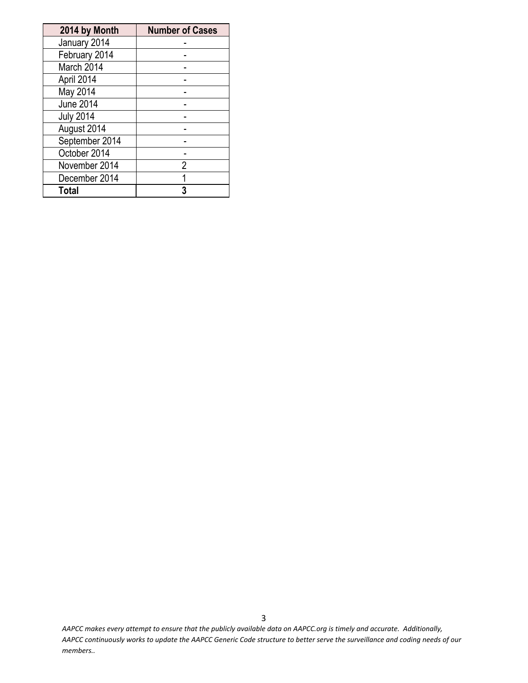| 2014 by Month    | <b>Number of Cases</b> |
|------------------|------------------------|
| January 2014     |                        |
| February 2014    |                        |
| March 2014       |                        |
| April 2014       |                        |
| May 2014         |                        |
| <b>June 2014</b> |                        |
| <b>July 2014</b> |                        |
| August 2014      |                        |
| September 2014   |                        |
| October 2014     |                        |
| November 2014    | 2                      |
| December 2014    | 1                      |
| <b>Total</b>     | 3                      |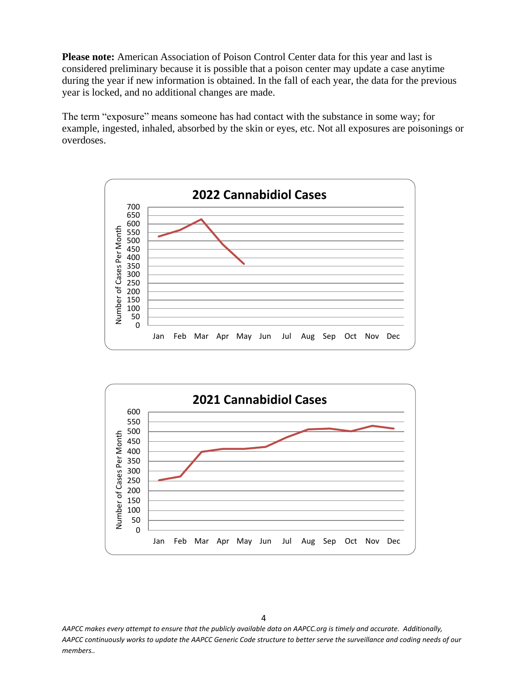**Please note:** American Association of Poison Control Center data for this year and last is considered preliminary because it is possible that a poison center may update a case anytime during the year if new information is obtained. In the fall of each year, the data for the previous year is locked, and no additional changes are made.

The term "exposure" means someone has had contact with the substance in some way; for example, ingested, inhaled, absorbed by the skin or eyes, etc. Not all exposures are poisonings or overdoses.



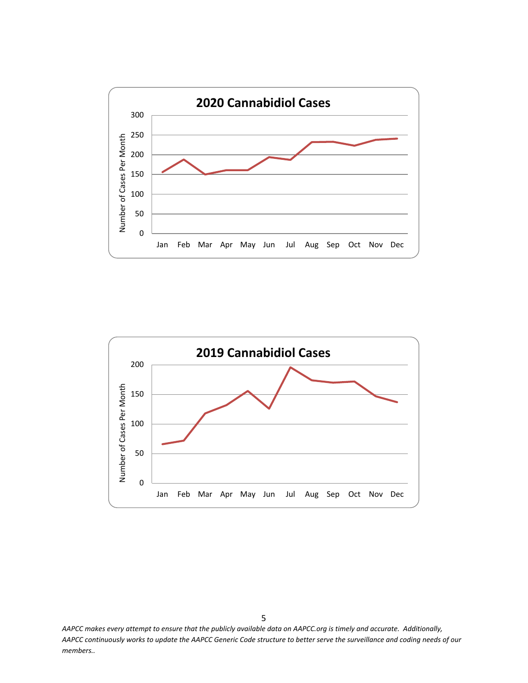

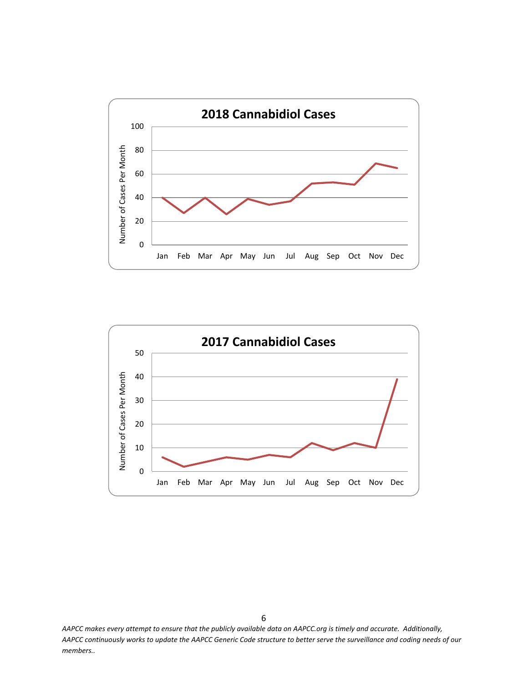

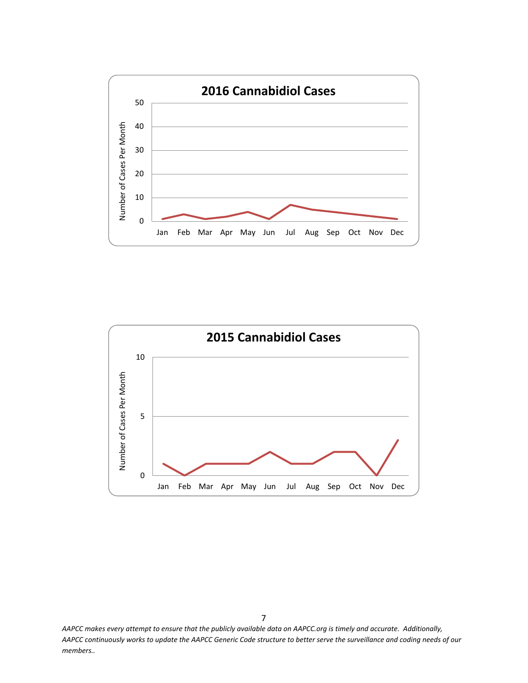